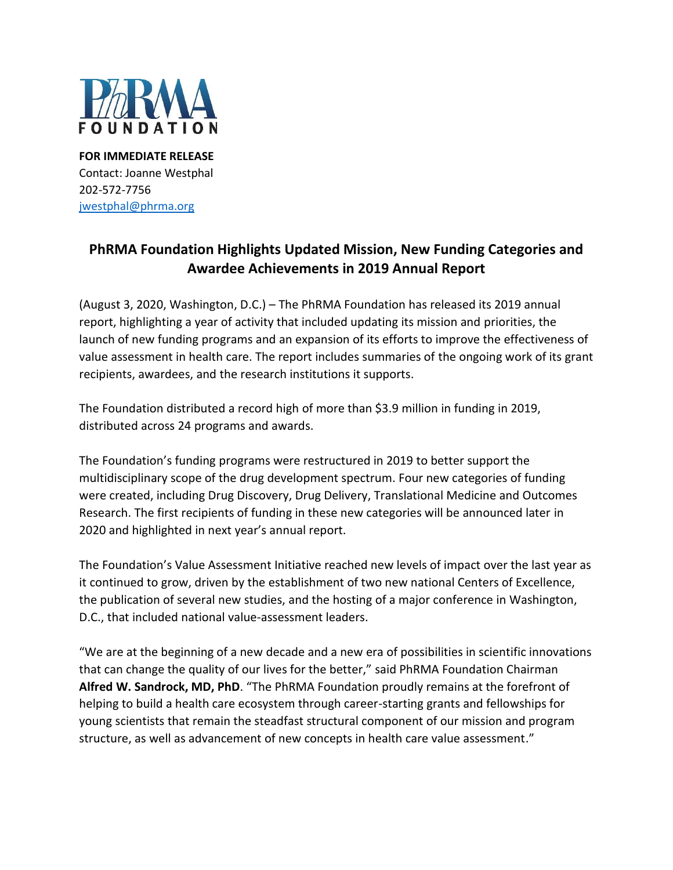

**FOR IMMEDIATE RELEASE** Contact: Joanne Westphal 202-572-7756 [jwestphal@phrma.org](mailto:jwestphal@phrma.org)

## **PhRMA Foundation Highlights Updated Mission, New Funding Categories and Awardee Achievements in 2019 Annual Report**

(August 3, 2020, Washington, D.C.) – The PhRMA Foundation has released its 2019 annual report, highlighting a year of activity that included updating its mission and priorities, the launch of new funding programs and an expansion of its efforts to improve the effectiveness of value assessment in health care. The report includes summaries of the ongoing work of its grant recipients, awardees, and the research institutions it supports.

The Foundation distributed a record high of more than \$3.9 million in funding in 2019, distributed across 24 programs and awards.

The Foundation's funding programs were restructured in 2019 to better support the multidisciplinary scope of the drug development spectrum. Four new categories of funding were created, including Drug Discovery, Drug Delivery, Translational Medicine and Outcomes Research. The first recipients of funding in these new categories will be announced later in 2020 and highlighted in next year's annual report.

The Foundation's Value Assessment Initiative reached new levels of impact over the last year as it continued to grow, driven by the establishment of two new national Centers of Excellence, the publication of several new studies, and the hosting of a major conference in Washington, D.C., that included national value-assessment leaders.

"We are at the beginning of a new decade and a new era of possibilities in scientific innovations that can change the quality of our lives for the better," said PhRMA Foundation Chairman **Alfred W. Sandrock, MD, PhD**. "The PhRMA Foundation proudly remains at the forefront of helping to build a health care ecosystem through career-starting grants and fellowships for young scientists that remain the steadfast structural component of our mission and program structure, as well as advancement of new concepts in health care value assessment."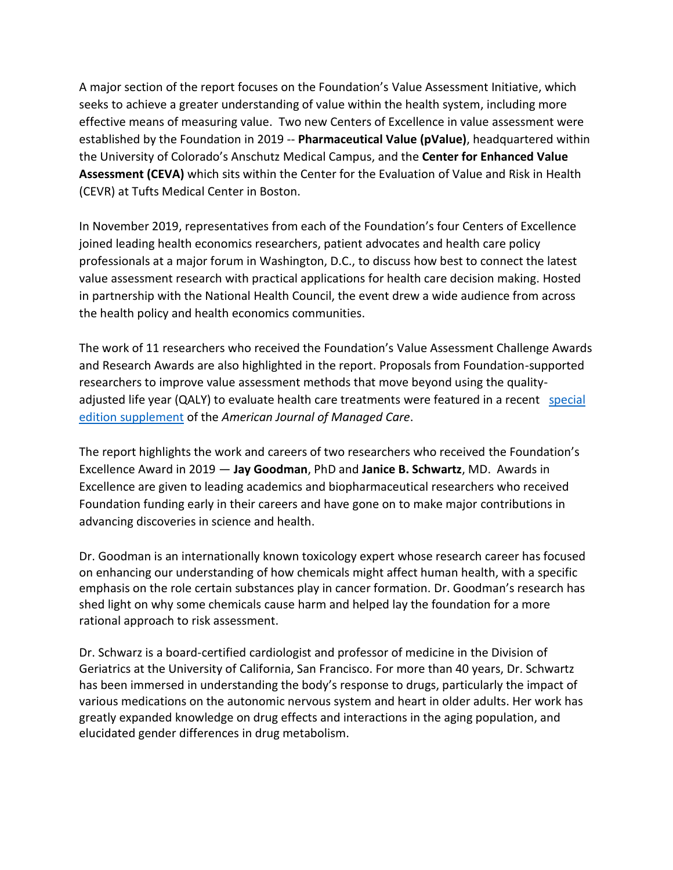A major section of the report focuses on the Foundation's Value Assessment Initiative, which seeks to achieve a greater understanding of value within the health system, including more effective means of measuring value. Two new Centers of Excellence in value assessment were established by the Foundation in 2019 -- **Pharmaceutical Value (pValue)**, headquartered within the University of Colorado's Anschutz Medical Campus, and the **Center for Enhanced Value Assessment (CEVA)** which sits within the Center for the Evaluation of Value and Risk in Health (CEVR) at Tufts Medical Center in Boston.

In November 2019, representatives from each of the Foundation's four Centers of Excellence joined leading health economics researchers, patient advocates and health care policy professionals at a major forum in Washington, D.C., to discuss how best to connect the latest value assessment research with practical applications for health care decision making. Hosted in partnership with the National Health Council, the event drew a wide audience from across the health policy and health economics communities.

The work of 11 researchers who received the Foundation's Value Assessment Challenge Awards and Research Awards are also highlighted in the report. Proposals from Foundation-supported researchers to improve value assessment methods that move beyond using the qualityadjusted life year (QALY) to evaluate health care treatments were featured in a recent [special](http://www.phrmafoundation.org/ajmc-publishes-foundation-challenge-award-recipients-proposals/)  [edition supplement](http://www.phrmafoundation.org/ajmc-publishes-foundation-challenge-award-recipients-proposals/) of the *American Journal of Managed Care*.

The report highlights the work and careers of two researchers who received the Foundation's Excellence Award in 2019 — **Jay Goodman**, PhD and **Janice B. Schwartz**, MD. Awards in Excellence are given to leading academics and biopharmaceutical researchers who received Foundation funding early in their careers and have gone on to make major contributions in advancing discoveries in science and health.

Dr. Goodman is an internationally known toxicology expert whose research career has focused on enhancing our understanding of how chemicals might affect human health, with a specific emphasis on the role certain substances play in cancer formation. Dr. Goodman's research has shed light on why some chemicals cause harm and helped lay the foundation for a more rational approach to risk assessment.

Dr. Schwarz is a board-certified cardiologist and professor of medicine in the Division of Geriatrics at the University of California, San Francisco. For more than 40 years, Dr. Schwartz has been immersed in understanding the body's response to drugs, particularly the impact of various medications on the autonomic nervous system and heart in older adults. Her work has greatly expanded knowledge on drug effects and interactions in the aging population, and elucidated gender differences in drug metabolism.